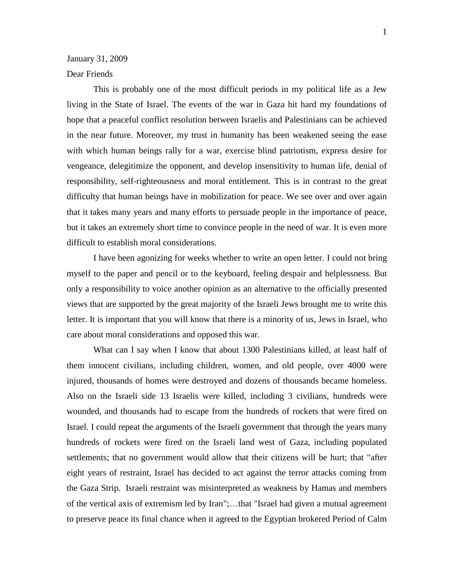## January 31, 2009

## Dear Friends

This is probably one of the most difficult periods in my political life as a Jew living in the State of Israel. The events of the war in Gaza hit hard my foundations of hope that a peaceful conflict resolution between Israelis and Palestinians can be achieved in the near future. Moreover, my trust in humanity has been weakened seeing the ease with which human beings rally for a war, exercise blind patriotism, express desire for vengeance, delegitimize the opponent, and develop insensitivity to human life, denial of responsibility, self-righteousness and moral entitlement. This is in contrast to the great difficulty that human beings have in mobilization for peace. We see over and over again that it takes many years and many efforts to persuade people in the importance of peace, but it takes an extremely short time to convince people in the need of war. It is even more difficult to establish moral considerations.

I have been agonizing for weeks whether to write an open letter. I could not bring myself to the paper and pencil or to the keyboard, feeling despair and helplessness. But only a responsibility to voice another opinion as an alternative to the officially presented views that are supported by the great majority of the Israeli Jews brought me to write this letter. It is important that you will know that there is a minority of us, Jews in Israel, who care about moral considerations and opposed this war.

What can I say when I know that about 1300 Palestinians killed, at least half of them innocent civilians, including children, women, and old people, over 4000 were injured, thousands of homes were destroyed and dozens of thousands became homeless. Also on the Israeli side 13 Israelis were killed, including 3 civilians, hundreds were wounded, and thousands had to escape from the hundreds of rockets that were fired on Israel. I could repeat the arguments of the Israeli government that through the years many hundreds of rockets were fired on the Israeli land west of Gaza, including populated settlements; that no government would allow that their citizens will be hurt; that "after eight years of restraint, Israel has decided to act against the terror attacks coming from the Gaza Strip. Israeli restraint was misinterpreted as weakness by Hamas and members of the vertical axis of extremism led by Iran";…that "Israel had given a mutual agreement to preserve peace its final chance when it agreed to the Egyptian brokered Period of Calm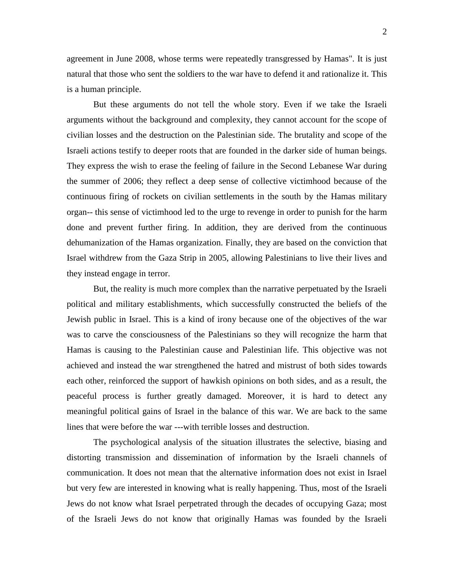2

agreement in June 2008, whose terms were repeatedly transgressed by Hamas". It is just natural that those who sent the soldiers to the war have to defend it and rationalize it. This is a human principle.

But these arguments do not tell the whole story. Even if we take the Israeli arguments without the background and complexity, they cannot account for the scope of civilian losses and the destruction on the Palestinian side. The brutality and scope of the Israeli actions testify to deeper roots that are founded in the darker side of human beings. They express the wish to erase the feeling of failure in the Second Lebanese War during the summer of 2006; they reflect a deep sense of collective victimhood because of the continuous firing of rockets on civilian settlements in the south by the Hamas military organ-- this sense of victimhood led to the urge to revenge in order to punish for the harm done and prevent further firing. In addition, they are derived from the continuous dehumanization of the Hamas organization. Finally, they are based on the conviction that Israel withdrew from the Gaza Strip in 2005, allowing Palestinians to live their lives and they instead engage in terror.

But, the reality is much more complex than the narrative perpetuated by the Israeli political and military establishments, which successfully constructed the beliefs of the Jewish public in Israel. This is a kind of irony because one of the objectives of the war was to carve the consciousness of the Palestinians so they will recognize the harm that Hamas is causing to the Palestinian cause and Palestinian life. This objective was not achieved and instead the war strengthened the hatred and mistrust of both sides towards each other, reinforced the support of hawkish opinions on both sides, and as a result, the peaceful process is further greatly damaged. Moreover, it is hard to detect any meaningful political gains of Israel in the balance of this war. We are back to the same lines that were before the war ---with terrible losses and destruction.

The psychological analysis of the situation illustrates the selective, biasing and distorting transmission and dissemination of information by the Israeli channels of communication. It does not mean that the alternative information does not exist in Israel but very few are interested in knowing what is really happening. Thus, most of the Israeli Jews do not know what Israel perpetrated through the decades of occupying Gaza; most of the Israeli Jews do not know that originally Hamas was founded by the Israeli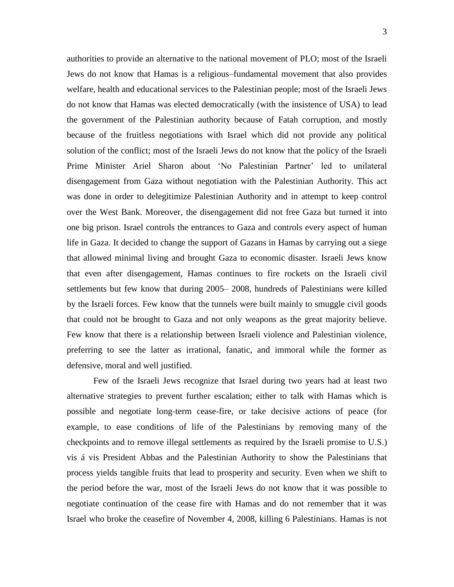authorities to provide an alternative to the national movement of PLO; most of the Israeli Jews do not know that Hamas is a religious–fundamental movement that also provides welfare, health and educational services to the Palestinian people; most of the Israeli Jews do not know that Hamas was elected democratically (with the insistence of USA) to lead the government of the Palestinian authority because of Fatah corruption, and mostly because of the fruitless negotiations with Israel which did not provide any political solution of the conflict; most of the Israeli Jews do not know that the policy of the Israeli Prime Minister Ariel Sharon about 'No Palestinian Partner' led to unilateral disengagement from Gaza without negotiation with the Palestinian Authority. This act was done in order to delegitimize Palestinian Authority and in attempt to keep control over the West Bank. Moreover, the disengagement did not free Gaza but turned it into one big prison. Israel controls the entrances to Gaza and controls every aspect of human life in Gaza. It decided to change the support of Gazans in Hamas by carrying out a siege that allowed minimal living and brought Gaza to economic disaster. Israeli Jews know that even after disengagement, Hamas continues to fire rockets on the Israeli civil settlements but few know that during 2005– 2008, hundreds of Palestinians were killed by the Israeli forces. Few know that the tunnels were built mainly to smuggle civil goods that could not be brought to Gaza and not only weapons as the great majority believe. Few know that there is a relationship between Israeli violence and Palestinian violence, preferring to see the latter as irrational, fanatic, and immoral while the former as defensive, moral and well justified.

Few of the Israeli Jews recognize that Israel during two years had at least two alternative strategies to prevent further escalation; either to talk with Hamas which is possible and negotiate long-term cease-fire, or take decisive actions of peace (for example, to ease conditions of life of the Palestinians by removing many of the checkpoints and to remove illegal settlements as required by the Israeli promise to U.S.) vis á vis President Abbas and the Palestinian Authority to show the Palestinians that process yields tangible fruits that lead to prosperity and security. Even when we shift to the period before the war, most of the Israeli Jews do not know that it was possible to negotiate continuation of the cease fire with Hamas and do not remember that it was Israel who broke the ceasefire of November 4, 2008, killing 6 Palestinians. Hamas is not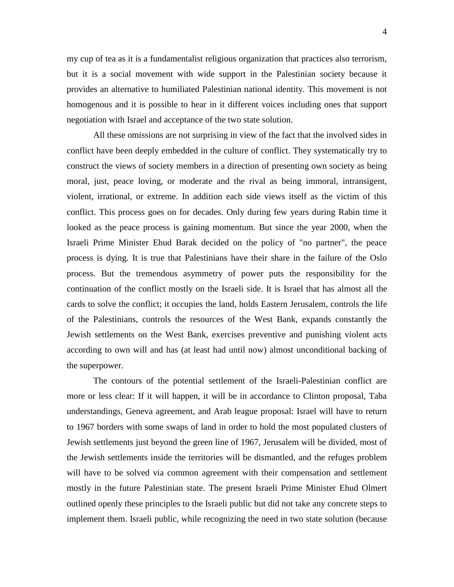4

my cup of tea as it is a fundamentalist religious organization that practices also terrorism, but it is a social movement with wide support in the Palestinian society because it provides an alternative to humiliated Palestinian national identity. This movement is not homogenous and it is possible to hear in it different voices including ones that support negotiation with Israel and acceptance of the two state solution.

All these omissions are not surprising in view of the fact that the involved sides in conflict have been deeply embedded in the culture of conflict. They systematically try to construct the views of society members in a direction of presenting own society as being moral, just, peace loving, or moderate and the rival as being immoral, intransigent, violent, irrational, or extreme. In addition each side views itself as the victim of this conflict. This process goes on for decades. Only during few years during Rabin time it looked as the peace process is gaining momentum. But since the year 2000, when the Israeli Prime Minister Ehud Barak decided on the policy of "no partner", the peace process is dying. It is true that Palestinians have their share in the failure of the Oslo process. But the tremendous asymmetry of power puts the responsibility for the continuation of the conflict mostly on the Israeli side. It is Israel that has almost all the cards to solve the conflict; it occupies the land, holds Eastern Jerusalem, controls the life of the Palestinians, controls the resources of the West Bank, expands constantly the Jewish settlements on the West Bank, exercises preventive and punishing violent acts according to own will and has (at least had until now) almost unconditional backing of the superpower.

The contours of the potential settlement of the Israeli-Palestinian conflict are more or less clear: If it will happen, it will be in accordance to Clinton proposal, Taba understandings, Geneva agreement, and Arab league proposal: Israel will have to return to 1967 borders with some swaps of land in order to hold the most populated clusters of Jewish settlements just beyond the green line of 1967, Jerusalem will be divided, most of the Jewish settlements inside the territories will be dismantled, and the refuges problem will have to be solved via common agreement with their compensation and settlement mostly in the future Palestinian state. The present Israeli Prime Minister Ehud Olmert outlined openly these principles to the Israeli public but did not take any concrete steps to implement them. Israeli public, while recognizing the need in two state solution (because